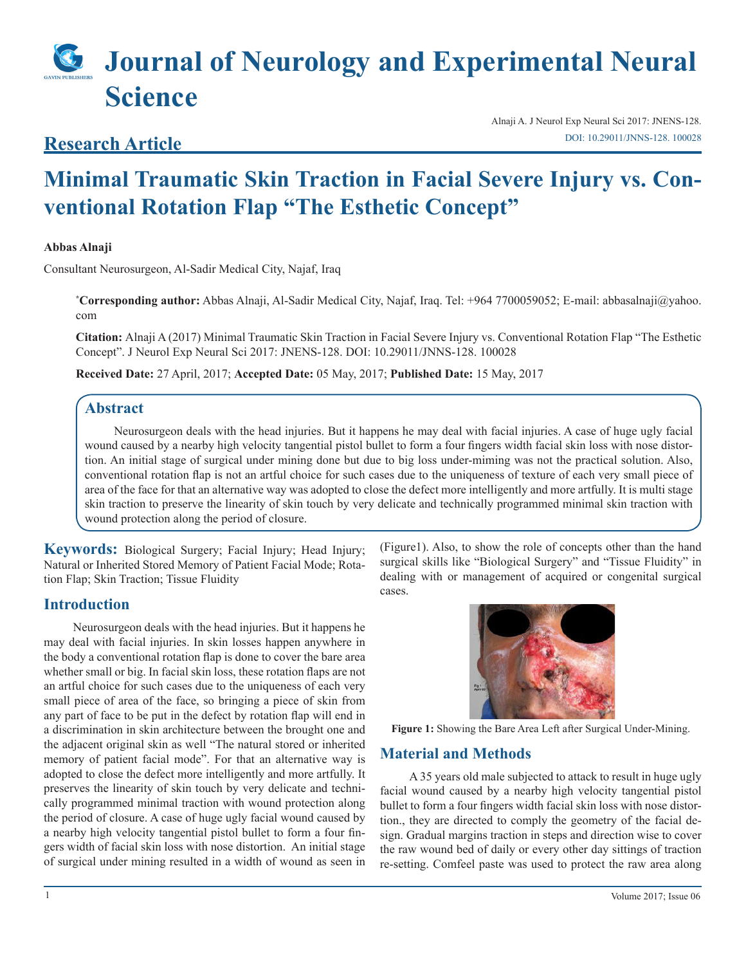# **Journal of Neurology and Experimental Neural Science**

# **Research Article**

Alnaji A. J Neurol Exp Neural Sci 2017: JNENS-128. [DOI: 10.29011/JNNS-128. 100028](
http://doi.org/10.29011/JNNS-128. 100028)

# **Minimal Traumatic Skin Traction in Facial Severe Injury vs. Conventional Rotation Flap "The Esthetic Concept"**

## **Abbas Alnaji**

Consultant Neurosurgeon, Al-Sadir Medical City, Najaf, Iraq

**\* Corresponding author:** Abbas Alnaji, Al-Sadir Medical City, Najaf, Iraq. Tel: +964 7700059052; E-mail: abbasalnaji@yahoo. com

**Citation:** Alnaji A (2017) Minimal Traumatic Skin Traction in Facial Severe Injury vs. Conventional Rotation Flap "The Esthetic Concept". J Neurol Exp Neural Sci 2017: JNENS-128. DOI: 10.29011/JNNS-128. 100028

**Received Date:** 27 April, 2017; **Accepted Date:** 05 May, 2017; **Published Date:** 15 May, 2017

# **Abstract**

Neurosurgeon deals with the head injuries. But it happens he may deal with facial injuries. A case of huge ugly facial wound caused by a nearby high velocity tangential pistol bullet to form a four fingers width facial skin loss with nose distortion. An initial stage of surgical under mining done but due to big loss under-miming was not the practical solution. Also, conventional rotation flap is not an artful choice for such cases due to the uniqueness of texture of each very small piece of area of the face for that an alternative way was adopted to close the defect more intelligently and more artfully. It is multi stage skin traction to preserve the linearity of skin touch by very delicate and technically programmed minimal skin traction with wound protection along the period of closure.

**Keywords:** Biological Surgery; Facial Injury; Head Injury; Natural or Inherited Stored Memory of Patient Facial Mode; Rotation Flap; Skin Traction; Tissue Fluidity

# **Introduction**

Neurosurgeon deals with the head injuries. But it happens he may deal with facial injuries. In skin losses happen anywhere in the body a conventional rotation flap is done to cover the bare area whether small or big. In facial skin loss, these rotation flaps are not an artful choice for such cases due to the uniqueness of each very small piece of area of the face, so bringing a piece of skin from any part of face to be put in the defect by rotation flap will end in a discrimination in skin architecture between the brought one and the adjacent original skin as well "The natural stored or inherited memory of patient facial mode". For that an alternative way is adopted to close the defect more intelligently and more artfully. It preserves the linearity of skin touch by very delicate and technically programmed minimal traction with wound protection along the period of closure. A case of huge ugly facial wound caused by a nearby high velocity tangential pistol bullet to form a four fingers width of facial skin loss with nose distortion. An initial stage of surgical under mining resulted in a width of wound as seen in

(Figure1). Also, to show the role of concepts other than the hand surgical skills like "Biological Surgery" and "Tissue Fluidity" in dealing with or management of acquired or congenital surgical cases.



**Figure 1:** Showing the Bare Area Left after Surgical Under-Mining.

# **Material and Methods**

A 35 years old male subjected to attack to result in huge ugly facial wound caused by a nearby high velocity tangential pistol bullet to form a four fingers width facial skin loss with nose distortion., they are directed to comply the geometry of the facial design. Gradual margins traction in steps and direction wise to cover the raw wound bed of daily or every other day sittings of traction re-setting. Comfeel paste was used to protect the raw area along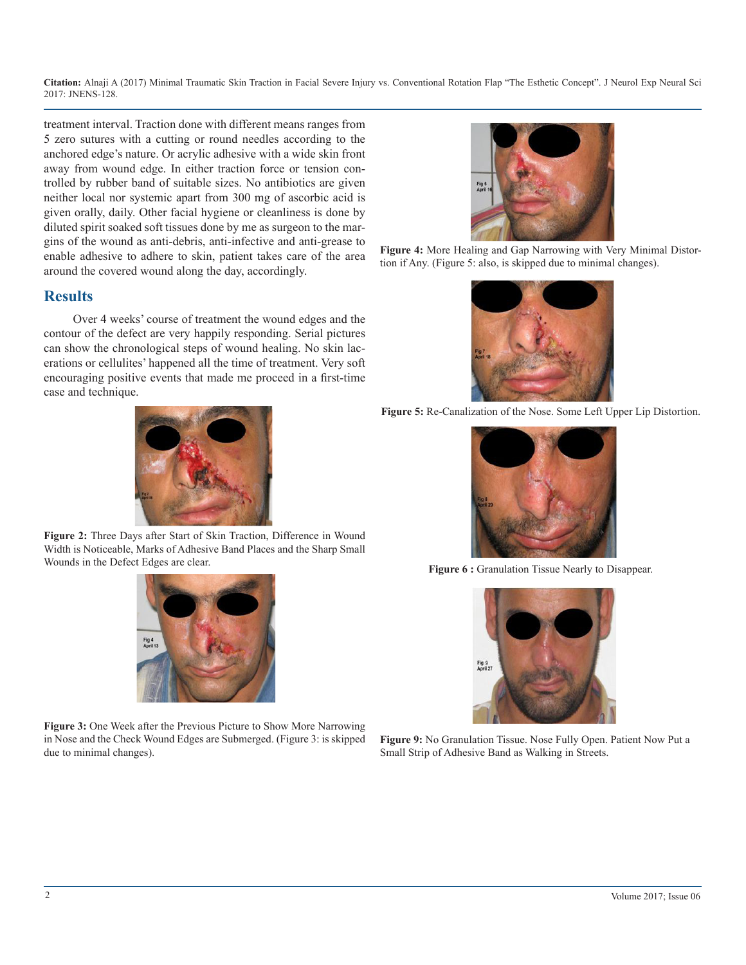**Citation:** Alnaji A (2017) Minimal Traumatic Skin Traction in Facial Severe Injury vs. Conventional Rotation Flap "The Esthetic Concept". J Neurol Exp Neural Sci 2017: JNENS-128.

treatment interval. Traction done with different means ranges from 5 zero sutures with a cutting or round needles according to the anchored edge's nature. Or acrylic adhesive with a wide skin front away from wound edge. In either traction force or tension controlled by rubber band of suitable sizes. No antibiotics are given neither local nor systemic apart from 300 mg of ascorbic acid is given orally, daily. Other facial hygiene or cleanliness is done by diluted spirit soaked soft tissues done by me as surgeon to the margins of the wound as anti-debris, anti-infective and anti-grease to enable adhesive to adhere to skin, patient takes care of the area around the covered wound along the day, accordingly.

# **Results**

Over 4 weeks' course of treatment the wound edges and the contour of the defect are very happily responding. Serial pictures can show the chronological steps of wound healing. No skin lacerations or cellulites' happened all the time of treatment. Very soft encouraging positive events that made me proceed in a first-time case and technique.



**Figure 2:** Three Days after Start of Skin Traction, Difference in Wound Width is Noticeable, Marks of Adhesive Band Places and the Sharp Small Wounds in the Defect Edges are clear.



**Figure 3:** One Week after the Previous Picture to Show More Narrowing in Nose and the Check Wound Edges are Submerged. (Figure 3: is skipped due to minimal changes).



**Figure 4:** More Healing and Gap Narrowing with Very Minimal Distortion if Any. (Figure 5: also, is skipped due to minimal changes).



**Figure 5:** Re-Canalization of the Nose. Some Left Upper Lip Distortion.



Figure 6 : Granulation Tissue Nearly to Disappear.



**Figure 9:** No Granulation Tissue. Nose Fully Open. Patient Now Put a Small Strip of Adhesive Band as Walking in Streets.